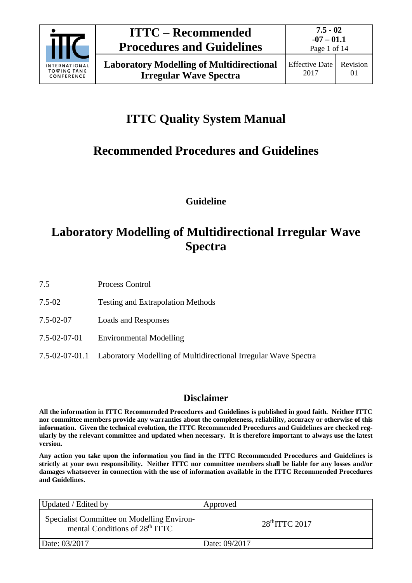

# **ITTC Quality System Manual**

# **Recommended Procedures and Guidelines**

**Guideline**

## **Laboratory Modelling of Multidirectional Irregular Wave Spectra**

7.5 Process Control

- 7.5-02 Testing and Extrapolation Methods
- 7.5-02-07 Loads and Responses
- 7.5-02-07-01 Environmental Modelling
- 7.5-02-07-01.1 Laboratory Modelling of Multidirectional Irregular Wave Spectra

### **Disclaimer**

**All the information in ITTC Recommended Procedures and Guidelines is published in good faith. Neither ITTC nor committee members provide any warranties about the completeness, reliability, accuracy or otherwise of this information. Given the technical evolution, the ITTC Recommended Procedures and Guidelines are checked regularly by the relevant committee and updated when necessary. It is therefore important to always use the latest version.**

**Any action you take upon the information you find in the ITTC Recommended Procedures and Guidelines is strictly at your own responsibility. Neither ITTC nor committee members shall be liable for any losses and/or damages whatsoever in connection with the use of information available in the ITTC Recommended Procedures and Guidelines.**

| Updated / Edited by                                                                      | Approved        |
|------------------------------------------------------------------------------------------|-----------------|
| Specialist Committee on Modelling Environ-<br>mental Conditions of 28 <sup>th</sup> ITTC | $28thTTTC$ 2017 |
| Date: 03/2017                                                                            | Date: 09/2017   |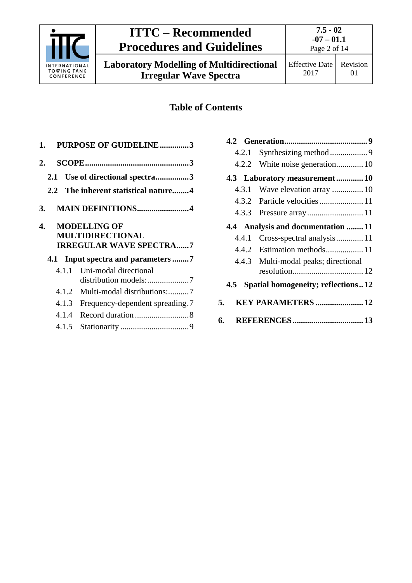

**Laboratory Modelling of Multidirectional Irregular Wave Spectra**



Effective Date 2017 Revision 01

### **Table of Contents**

|     | 1. PURPOSE OF GUIDELINE3                              |
|-----|-------------------------------------------------------|
| 2.  |                                                       |
| 2.1 | Use of directional spectra3                           |
|     | 2.2 The inherent statistical nature4                  |
| 3.  | <b>MAIN DEFINITIONS4</b>                              |
| 4.  | <b>MODELLING OF</b><br><b>MULTIDIRECTIONAL</b>        |
|     | <b>IRREGULAR WAVE SPECTRA7</b>                        |
|     |                                                       |
|     | 4.1.1 Uni-modal directional<br>distribution models: 7 |
|     | 4.1.2<br>Multi-modal distributions:7                  |
|     | 4.1.3<br>Frequency-dependent spreading.7              |
|     | 4.1.4                                                 |

| 4.2.1                                  |                                      |  |  |
|----------------------------------------|--------------------------------------|--|--|
|                                        | 4.2.2 White noise generation 10      |  |  |
|                                        | 4.3 Laboratory measurement 10        |  |  |
| 4.3.1                                  | Wave elevation array  10             |  |  |
|                                        |                                      |  |  |
|                                        |                                      |  |  |
|                                        | 4.4 Analysis and documentation  11   |  |  |
| 4.4.1                                  | Cross-spectral analysis 11           |  |  |
|                                        | 4.4.2 Estimation methods 11          |  |  |
|                                        | 4.4.3 Multi-modal peaks; directional |  |  |
| 4.5 Spatial homogeneity; reflections12 |                                      |  |  |
| 5.                                     | KEY PARAMETERS  12                   |  |  |
| 6.                                     |                                      |  |  |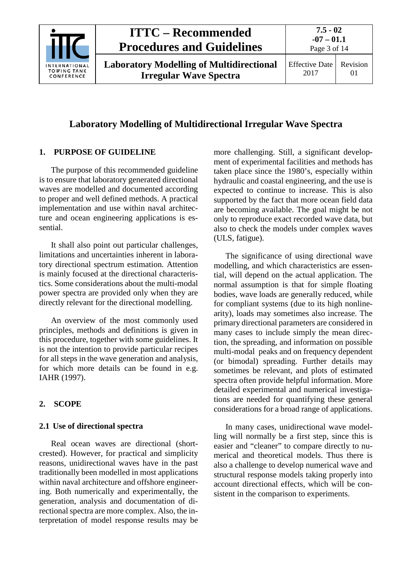

**Laboratory Modelling of Multidirectional Irregular Wave Spectra**

**7.5 - 02 -07 – 01.1** Page 3 of 14

### **Laboratory Modelling of Multidirectional Irregular Wave Spectra**

### <span id="page-2-0"></span>**1. PURPOSE OF GUIDELINE**

The purpose of this recommended guideline is to ensure that laboratory generated directional waves are modelled and documented according to proper and well defined methods. A practical implementation and use within naval architecture and ocean engineering applications is essential.

It shall also point out particular challenges, limitations and uncertainties inherent in laboratory directional spectrum estimation. Attention is mainly focused at the directional characteristics. Some considerations about the multi-modal power spectra are provided only when they are directly relevant for the directional modelling.

An overview of the most commonly used principles, methods and definitions is given in this procedure, together with some guidelines. It is not the intention to provide particular recipes for all steps in the wave generation and analysis, for which more details can be found in e.g. IAHR (1997).

### <span id="page-2-2"></span><span id="page-2-1"></span>**2. SCOPE**

### **2.1 Use of directional spectra**

Real ocean waves are directional (shortcrested). However, for practical and simplicity reasons, unidirectional waves have in the past traditionally been modelled in most applications within naval architecture and offshore engineering. Both numerically and experimentally, the generation, analysis and documentation of directional spectra are more complex. Also, the interpretation of model response results may be

more challenging. Still, a significant development of experimental facilities and methods has taken place since the 1980's, especially within hydraulic and coastal engineering, and the use is expected to continue to increase. This is also supported by the fact that more ocean field data are becoming available. The goal might be not only to reproduce exact recorded wave data, but also to check the models under complex waves (ULS, fatigue).

The significance of using directional wave modelling, and which characteristics are essential, will depend on the actual application. The normal assumption is that for simple floating bodies, wave loads are generally reduced, while for compliant systems (due to its high nonlinearity), loads may sometimes also increase. The primary directional parameters are considered in many cases to include simply the mean direction, the spreading, and information on possible multi-modal peaks and on frequency dependent (or bimodal) spreading. Further details may sometimes be relevant, and plots of estimated spectra often provide helpful information. More detailed experimental and numerical investigations are needed for quantifying these general considerations for a broad range of applications.

In many cases, unidirectional wave modelling will normally be a first step, since this is easier and "cleaner" to compare directly to numerical and theoretical models. Thus there is also a challenge to develop numerical wave and structural response models taking properly into account directional effects, which will be consistent in the comparison to experiments.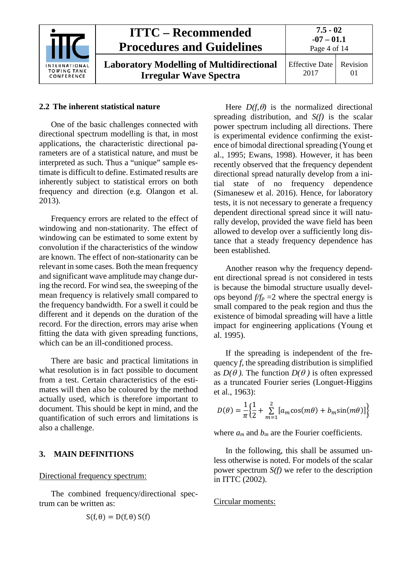

#### <span id="page-3-0"></span>**2.2 The inherent statistical nature**

One of the basic challenges connected with directional spectrum modelling is that, in most applications, the characteristic directional parameters are of a statistical nature, and must be interpreted as such. Thus a "unique" sample estimate is difficult to define. Estimated results are inherently subject to statistical errors on both frequency and direction (e.g. Olangon et al. 2013).

Frequency errors are related to the effect of windowing and non-stationarity. The effect of windowing can be estimated to some extent by convolution if the characteristics of the window are known. The effect of non-stationarity can be relevant in some cases. Both the mean frequency and significant wave amplitude may change during the record. For wind sea, the sweeping of the mean frequency is relatively small compared to the frequency bandwidth. For a swell it could be different and it depends on the duration of the record. For the direction, errors may arise when fitting the data with given spreading functions, which can be an ill-conditioned process.

There are basic and practical limitations in what resolution is in fact possible to document from a test. Certain characteristics of the estimates will then also be coloured by the method actually used, which is therefore important to document. This should be kept in mind, and the quantification of such errors and limitations is also a challenge.

#### <span id="page-3-1"></span>**3. MAIN DEFINITIONS**

#### Directional frequency spectrum:

The combined frequency/directional spectrum can be written as:

$$
S(f, \theta) = D(f, \theta) S(f)
$$

Here  $D(f, \theta)$  is the normalized directional spreading distribution, and *S(f)* is the scalar power spectrum including all directions. There is experimental evidence confirming the existence of bimodal directional spreading (Young et al., 1995; Ewans, 1998). However, it has been recently observed that the frequency dependent directional spread naturally develop from a initial state of no frequency dependence (Simanesew et al. 2016). Hence, for laboratory tests, it is not necessary to generate a frequency dependent directional spread since it will naturally develop, provided the wave field has been allowed to develop over a sufficiently long distance that a steady frequency dependence has been established.

Another reason why the frequency dependent directional spread is not considered in tests is because the bimodal structure usually develops beyond  $f/f_p = 2$  where the spectral energy is small compared to the peak region and thus the existence of bimodal spreading will have a little impact for engineering applications (Young et al. 1995).

If the spreading is independent of the frequency *f*, the spreading distribution is simplified as  $D(\theta)$ . The function  $D(\theta)$  is often expressed as a truncated Fourier series (Longuet-Higgins et al., 1963):

$$
D(\theta) = \frac{1}{\pi} \Big\{ \frac{1}{2} + \sum_{m=1}^{2} \big[ a_m \cos(m\theta) + b_m \sin(m\theta) \big] \Big\}
$$

where  $a_m$  and  $b_m$  are the Fourier coefficients.

In the following, this shall be assumed unless otherwise is noted. For models of the scalar power spectrum *S(f)* we refer to the description in ITTC (2002).

#### Circular moments: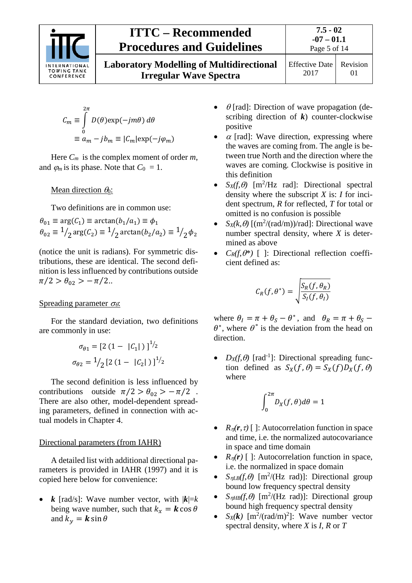

**Laboratory Modelling of Multidirectional Irregular Wave Spectra**

Effective Date 2017 Revision 01

$$
C_m \equiv \int_0^{2\pi} D(\theta) \exp(-jm\theta) d\theta
$$
  

$$
\equiv a_m - jb_m \equiv |C_m| \exp(-j\varphi_m)
$$

Here *Cm* is the complex moment of order *m*, and  $\varphi_m$  is its phase. Note that  $C_0 = 1$ .

Mean direction  $\theta_0$ :

Two definitions are in common use:

 $\theta_{01} \equiv \arg(\mathcal{C}_1) \equiv \arctan(b_1/a_1) \equiv \phi_1$  $\theta_{02} \equiv \frac{1}{2} \arg(C_2) \equiv \frac{1}{2} \arctan(b_2/a_2) \equiv \frac{1}{2} \phi_2$ 

(notice the unit is radians). For symmetric distributions, these are identical. The second definition is less influenced by contributions outside  $\pi/2 > \theta_{02} > -\pi/2$ ..

#### Spreading parameter  $\sigma_{\theta}$ :

For the standard deviation, two definitions are commonly in use:

$$
\sigma_{\theta_1} = [2 (1 - |C_1|)]^{1/2}
$$

$$
\sigma_{\theta_2} = \frac{1}{2} [2 (1 - |C_2|)]^{1/2}
$$

The second definition is less influenced by contributions outside  $\pi/2 > \theta_{02} > -\pi/2$ . There are also other, model-dependent spreading parameters, defined in connection with actual models in Chapter 4.

#### Directional parameters (from IAHR)

A detailed list with additional directional parameters is provided in IAHR (1997) and it is copied here below for convenience:

•  $k$  [rad/s]: Wave number vector, with  $|k|=k$ being wave number, such that  $k_x = \mathbf{k} \cos \theta$ and  $k_v = \mathbf{k} \sin \theta$ 

- $\theta$  [rad]: Direction of wave propagation (describing direction of  $k$ ) counter-clockwise positive
- $\alpha$  [rad]: Wave direction, expressing where the waves are coming from. The angle is between true North and the direction where the waves are coming. Clockwise is positive in this definition
- $S_X(f, \theta)$  [m<sup>2</sup>/Hz rad]: Directional spectral density where the subscript *X* is: *I* for incident spectrum, *R* for reflected, *T* for total or omitted is no confusion is possible
- *S<sub>X</sub>(k,*  $\theta$ *)* [(m<sup>2</sup>/(rad/m))/rad]: Directional wave number spectral density, where *X* is determined as above
- $C_R(f, \theta^*)$  [ ]: Directional reflection coefficient defined as:

$$
C_R(f,\theta^*)=\sqrt{\frac{S_R(f,\theta_R)}{S_I(f,\theta_I)}}
$$

where  $\theta_I = \pi + \theta_S - \theta^*$ , and  $\theta_R = \pi + \theta_S \theta^*$ , where  $\theta^*$  is the deviation from the head on direction.

•  $D_X(f, \theta)$  [rad<sup>-1</sup>]: Directional spreading function defined as  $S_X(f, \theta) = S_X(f)D_X(f, \theta)$ where

$$
\int_0^{2\pi} D_X(f,\theta)d\theta=1
$$

- $R_n(r, \tau)$  [ ]: Autocorrelation function in space and time, i.e. the normalized autocovariance in space and time domain
- $R_n(r)$  [ ]: Autocorrelation function in space, i.e. the normalized in space domain
- $S_{\eta LB}(f, \theta)$  [m<sup>2</sup>/(Hz rad)]: Directional group bound low frequency spectral density
- $S_{\eta H B}(f, \theta)$  [m<sup>2</sup>/(Hz rad)]: Directional group bound high frequency spectral density
- $S_X(k)$  [m<sup>2</sup>/(rad/m)<sup>2</sup>]: Wave number vector spectral density, where *X* is *I*, *R* or *T*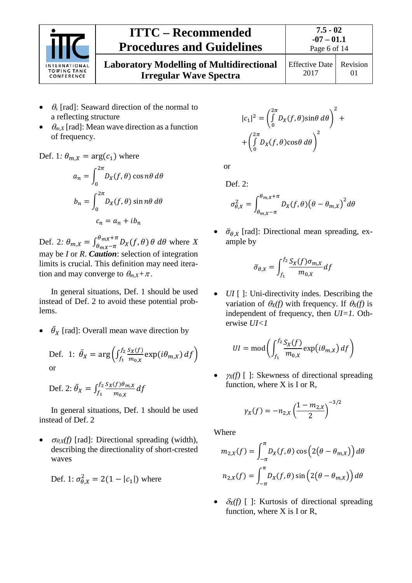

**Laboratory Modelling of Multidirectional Irregular Wave Spectra**

2017

Revision 01

- <sup>θ</sup>*<sup>s</sup>* [rad]: Seaward direction of the normal to a reflecting structure
- $\bullet$   $\theta_{m,X}$  [rad]: Mean wave direction as a function of frequency.

Def. 1*:*  $\theta_{m,X} = \arg(c_1)$  where

$$
a_n = \int_0^{2\pi} D_X(f, \theta) \cos n\theta \, d\theta
$$

$$
b_n = \int_0^{2\pi} D_X(f, \theta) \sin n\theta \, d\theta
$$

$$
c_n = a_n + ib_n
$$

Def. 2:  $\theta_{m,X} = \int_{\theta_{mX} - \pi}^{\theta_{mX} + \pi} D_X(f, \theta) \theta \, d\theta$  where *X* may be *I* or *R*. *Caution*: selection of integration limits is crucial. This definition may need iteration and may converge to  $\theta_{m,X} + \pi$ .

In general situations, Def. 1 should be used instead of Def. 2 to avoid these potential problems.

•  $\bar{\theta}_X$  [rad]: Overall mean wave direction by

Def. 1: 
$$
\bar{\theta}_X = \arg \left( \int_{f_1}^{f_2} \frac{S_X(f)}{m_{0,X}} \exp(i\theta_{m,X}) df \right)
$$
  
or

Def. 2:  $\bar{\theta}_X = \int_{f_1}^{f_2} \frac{S_X(f) \theta_{m_i}}{m_{0,X}}$  $f_1 f_2 \frac{S_X(f)\theta_{m,X}}{m_{0,X}} d$ 

In general situations, Def. 1 should be used instead of Def. 2

 $\bullet$   $\sigma_{\theta,X}(f)$  [rad]: Directional spreading (width), describing the directionality of short-crested waves

$$
Def. 1: \sigma_{\theta, X}^2 = 2(1 - |c_1|) \text{ where}
$$

$$
|c_1|^2 = \left(\int_0^{2\pi} D_X(f,\theta)\sin\theta \,d\theta\right)^2 +
$$

$$
+ \left(\int_0^{2\pi} D_X(f,\theta)\cos\theta \,d\theta\right)^2
$$

or

Def. 2:

$$
\sigma_{\theta,X}^2 = \int_{\theta_{m,X}-\pi}^{\theta_{m,X}+\pi} D_X(f,\theta) (\theta - \theta_{m,X})^2 d\theta
$$

 $\overline{\sigma}_{\theta, x}$  [rad]: Directional mean spreading, example by

$$
\bar{\sigma}_{\theta,X} = \int_{f_1}^{f_2} \frac{S_X(f)\sigma_{m,X}}{m_{0,X}} df
$$

*UI* [ ]: Uni-directivity indes. Describing the variation of  $\theta_X(f)$  with frequency. If  $\theta_X(f)$  is independent of frequency, then *UI=1.* Otherwise *UI<1*

$$
UI = \text{mod}\left(\int_{f_1}^{f_2} \frac{S_X(f)}{m_{0,X}} \exp(i\theta_{m,X}) df\right)
$$

 $\chi(x)$  [ ]: Skewness of directional spreading function, where X is I or R,

$$
\gamma_X(f) = -n_{2,X} \left(\frac{1 - m_{2,X}}{2}\right)^{-3/2}
$$

Where

$$
m_{2,X}(f) = \int_{-\pi}^{\pi} D_X(f,\theta) \cos\left(2(\theta - \theta_{m,X})\right) d\theta
$$

$$
n_{2,X}(f) = \int_{-\pi}^{\pi} D_X(f,\theta) \sin\left(2(\theta - \theta_{m,X})\right) d\theta
$$

 $\delta_X(f)$  [ ]: Kurtosis of directional spreading function, where X is I or R,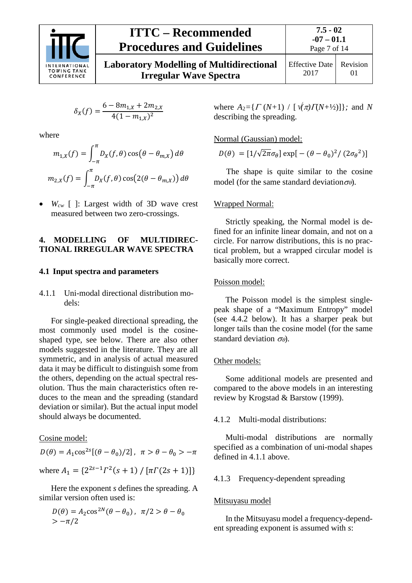

**Laboratory Modelling of Multidirectional Irregular Wave Spectra**

$$
\delta_X(f) = \frac{6 - 8m_{1,X} + 2m_{2,X}}{4(1 - m_{1,X})^2}
$$

where

$$
m_{1,X}(f) = \int_{-\pi}^{\pi} D_X(f,\theta) \cos(\theta - \theta_{m,X}) d\theta
$$

$$
m_{2,X}(f) = \int_{-\pi}^{\pi} D_X(f,\theta) \cos(2(\theta - \theta_{m,X})) d\theta
$$

• *Wcw* [ ]: Largest width of 3D wave crest measured between two zero-crossings.

#### <span id="page-6-0"></span>**4. MODELLING OF MULTIDIREC-TIONAL IRREGULAR WAVE SPECTRA**

#### <span id="page-6-2"></span><span id="page-6-1"></span>**4.1 Input spectra and parameters**

#### 4.1.1 Uni-modal directional distribution models:

For single-peaked directional spreading, the most commonly used model is the cosineshaped type, see below. There are also other models suggested in the literature. They are all symmetric, and in analysis of actual measured data it may be difficult to distinguish some from the others, depending on the actual spectral resolution. Thus the main characteristics often reduces to the mean and the spreading (standard deviation or similar). But the actual input model should always be documented.

#### Cosine model:

 $D(\theta) = A_1 \cos^{2s}[(\theta - \theta_0)/2]$ ,  $\pi > \theta - \theta_0 > -\pi$ where  $A_1 = \{2^{2s-1}\Gamma^2(s+1) / [\pi \Gamma(2s+1)]\}$ 

Here the exponent *s* defines the spreading. A similar version often used is:

$$
D(\theta) = A_2 \cos^{2N}(\theta - \theta_0), \ \pi/2 > \theta - \theta_0
$$
  
> -\pi/2

where  $A_2 = \{ \Gamma (N+1) / [\sqrt{\pi} \Gamma(N+\frac{1}{2})] \}$ *;* and *N* describing the spreading.

#### Normal (Gaussian) model:

$$
D(\theta) = [1/\sqrt{2\pi}\sigma_{\theta}] \exp[-(\theta - \theta_0)^2 / (2\sigma_{\theta}^2)]
$$

The shape is quite similar to the cosine model (for the same standard deviation  $\sigma_{\theta}$ ).

#### Wrapped Normal:

Strictly speaking, the Normal model is defined for an infinite linear domain, and not on a circle. For narrow distributions, this is no practical problem, but a wrapped circular model is basically more correct.

#### Poisson model:

The Poisson model is the simplest singlepeak shape of a "Maximum Entropy" model (see 4.4.2 below). It has a sharper peak but longer tails than the cosine model (for the same standard deviation  $\sigma_{\theta}$ ).

#### Other models:

Some additional models are presented and compared to the above models in an interesting review by Krogstad & Barstow (1999).

#### <span id="page-6-3"></span>4.1.2 Multi-modal distributions:

Multi-modal distributions are normally specified as a combination of uni-modal shapes defined in 4.1.1 above.

#### <span id="page-6-4"></span>4.1.3 Frequency-dependent spreading

#### Mitsuyasu model

In the Mitsuyasu model a frequency-dependent spreading exponent is assumed with *s*: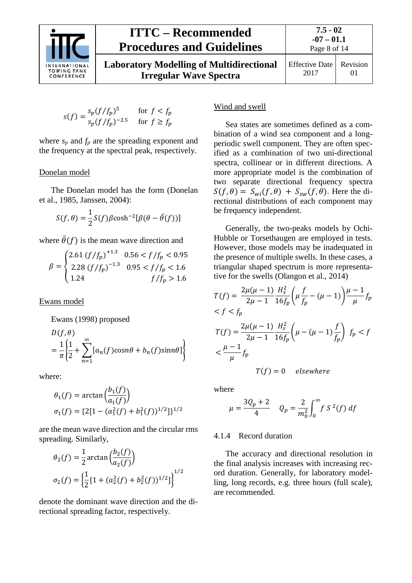

**-07 – 01.1** Page 8 of 14

**Laboratory Modelling of Multidirectional Irregular Wave Spectra**

Effective Date 2017 Revision 01

$$
s(f) = \frac{s_p(f/f_p)^5}{s_p(f/f_p)^{-2.5}} \quad \text{for } f < f_p
$$

where  $s_p$  and  $f_p$  are the spreading exponent and the frequency at the spectral peak, respectively.

#### Donelan model

The Donelan model has the form (Donelan et al., 1985, Janssen, 2004):

$$
S(f,\theta) = \frac{1}{2}S(f)\beta\cosh^{-2}[\beta(\theta - \bar{\theta}(f))]
$$

where  $\bar{\theta}(f)$  is the mean wave direction and

$$
\beta = \begin{cases} 2.61 (f/f_p)^{+1.3} & 0.56 < f/f_p < 0.95 \\ 2.28 (f/f_p)^{-1.3} & 0.95 < f/f_p < 1.6 \\ 1.24 & f/f_p > 1.6 \end{cases}
$$

Ewans model

Ewans (1998) proposed

$$
D(f, \theta)
$$
  
=  $\frac{1}{\pi} \left\{ \frac{1}{2} + \sum_{n=1}^{\infty} [a_n(f)\cos n\theta + b_n(f)\sin n\theta] \right\}$ 

where:

$$
\theta_1(f) = \arctan\left(\frac{b_1(f)}{a_1(f)}\right)
$$
  

$$
\sigma_1(f) = \{2[1 - (a_1^2(f) + b_1^2(f))^{1/2}]\}^{1/2}
$$

are the mean wave direction and the circular rms spreading. Similarly,

$$
\theta_2(f) = \frac{1}{2} \arctan\left(\frac{b_2(f)}{a_2(f)}\right)
$$

$$
\sigma_2(f) = \left\{\frac{1}{2} [1 + (a_2^2(f) + b_2^2(f))^{1/2}] \right\}^{1/2}
$$

denote the dominant wave direction and the directional spreading factor, respectively.

#### Wind and swell

Sea states are sometimes defined as a combination of a wind sea component and a longperiodic swell component. They are often specified as a combination of two uni-directional spectra, collinear or in different directions. A more appropriate model is the combination of two separate directional frequency spectra  $S(f, \theta) = S_{wi}(f, \theta) + S_{sw}(f, \theta)$ . Here the directional distributions of each component may be frequency independent.

Generally, the two-peaks models by Ochi-Hubble or Torsethaugen are employed in tests. However, those models may be inadequated in the presence of multiple swells. In these cases, a triangular shaped spectrum is more representative for the swells (Olangon et al., 2014)

$$
T(f) = \frac{2\mu(\mu - 1)}{2\mu - 1} \frac{H_s^2}{16f_p} \left(\mu \frac{f}{f_p} - (\mu - 1)\right) \frac{\mu - 1}{\mu} f_p
$$
  

$$
< f < f_p
$$
  

$$
T(f) = \frac{2\mu(\mu - 1)}{2\mu - 1} \frac{H_s^2}{16f_p} \left(\mu - (\mu - 1)\frac{f}{f_p}\right) f_p < f
$$
  

$$
< \frac{\mu - 1}{\mu} f_p
$$

 $T(f) = 0$  elsewhere

where

$$
\mu = \frac{3Q_p + 2}{4} \quad Q_p = \frac{2}{m_0^2} \int_0^\infty f S^2(f) \, df
$$

#### <span id="page-7-0"></span>4.1.4 Record duration

The accuracy and directional resolution in the final analysis increases with increasing record duration. Generally, for laboratory modelling, long records, e.g. three hours (full scale), are recommended.

**7.5 - 02**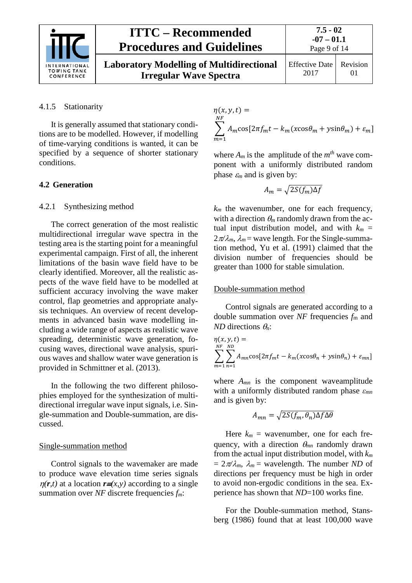

**Laboratory Modelling of Multidirectional Irregular Wave Spectra**

#### <span id="page-8-0"></span>4.1.5 Stationarity

It is generally assumed that stationary conditions are to be modelled. However, if modelling of time-varying conditions is wanted, it can be specified by a sequence of shorter stationary conditions.

#### <span id="page-8-2"></span><span id="page-8-1"></span>**4.2 Generation**

#### 4.2.1 Synthesizing method

The correct generation of the most realistic multidirectional irregular wave spectra in the testing area is the starting point for a meaningful experimental campaign. First of all, the inherent limitations of the basin wave field have to be clearly identified. Moreover, all the realistic aspects of the wave field have to be modelled at sufficient accuracy involving the wave maker control, flap geometries and appropriate analysis techniques. An overview of recent developments in advanced basin wave modelling including a wide range of aspects as realistic wave spreading, deterministic wave generation, focusing waves, directional wave analysis, spurious waves and shallow water wave generation is provided in Schmittner et al. (2013).

In the following the two different philosophies employed for the synthesization of multidirectional irregular wave input signals, i.e. Single-summation and Double-summation, are discussed.

#### Single-summation method

Control signals to the wavemaker are made to produce wave elevation time series signals  $\eta(r,t)$  at a location  $r \equiv (x,y)$  according to a single summation over *NF* discrete frequencies *fm*:

$$
\eta(x, y, t) =
$$
  

$$
\sum_{m=1}^{NF} A_m \cos[2\pi f_m t - k_m(x \cos \theta_m + y \sin \theta_m) + \varepsilon_m]
$$

where  $A_m$  is the amplitude of the  $m<sup>th</sup>$  wave component with a uniformly distributed random phase  $\varepsilon_m$  and is given by:

$$
A_m = \sqrt{2S(f_m)\Delta f}
$$

*km* the wavenumber, one for each frequency, with a direction  $\theta_m$  randomly drawn from the actual input distribution model, and with  $k_m =$  $2\pi/\lambda_m$ ,  $\lambda_m$  = wave length. For the Single-summation method, Yu et al. (1991) claimed that the division number of frequencies should be greater than 1000 for stable simulation.

#### Double-summation method

Control signals are generated according to a double summation over *NF* frequencies *f*<sup>m</sup> and *ND* directions θ*n*:

$$
\eta(x, y, t) =
$$
  

$$
\sum_{m=1}^{NF} \sum_{n=1}^{ND} A_{mn} \cos[2\pi f_m t - k_m(x \cos \theta_n + y \sin \theta_n) + \varepsilon_{mn}]
$$

where *Amn* is the component waveamplitude with a uniformly distributed random phase *εmn* and is given by:

$$
A_{mn} = \sqrt{2S(f_m, \theta_n)\Delta f \Delta \theta}
$$

Here  $k_m$  = wavenumber, one for each frequency, with a direction θ*mn* randomly drawn from the actual input distribution model, with *km*  $= 2\pi/\lambda_m$ ,  $\lambda_m$  = wavelength. The number *ND* of directions per frequency must be high in order to avoid non-ergodic conditions in the sea. Experience has shown that *ND*=100 works fine.

For the Double-summation method, Stansberg (1986) found that at least 100,000 wave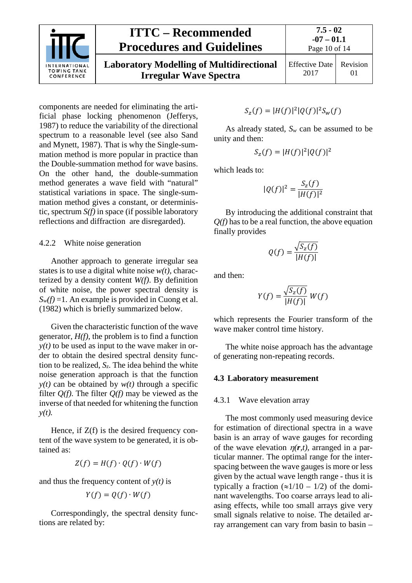

Effective Date 2017 Revision 01

components are needed for eliminating the artificial phase locking phenomenon (Jefferys, 1987) to reduce the variability of the directional spectrum to a reasonable level (see also Sand and Mynett, 1987). That is why the Single-summation method is more popular in practice than the Double-summation method for wave basins. On the other hand, the double-summation method generates a wave field with "natural" statistical variations in space. The single-summation method gives a constant, or deterministic, spectrum *S(f)* in space (if possible laboratory reflections and diffraction are disregarded).

#### <span id="page-9-0"></span>4.2.2 White noise generation

Another approach to generate irregular sea states is to use a digital white noise  $w(t)$ , characterized by a density content *W(f)*. By definition of white noise, the power spectral density is  $S_w(f) = 1$ . An example is provided in Cuong et al. (1982) which is briefly summarized below.

Given the characteristic function of the wave generator, *H(f)*, the problem is to find a function  $y(t)$  to be used as input to the wave maker in order to obtain the desired spectral density function to be realized,  $S_z$ . The idea behind the white noise generation approach is that the function  $y(t)$  can be obtained by  $w(t)$  through a specific filter *Q(f)*. The filter *Q(f)* may be viewed as the inverse of that needed for whitening the function *y(t).*

Hence, if  $Z(f)$  is the desired frequency content of the wave system to be generated, it is obtained as:

$$
Z(f) = H(f) \cdot Q(f) \cdot W(f)
$$

and thus the frequency content of  $y(t)$  is

$$
Y(f)=Q(f)\cdot W(f)
$$

Correspondingly, the spectral density functions are related by:

$$
S_z(f)=|H(f)|^2|Q(f)|^2S_w(f)
$$

As already stated, *Sw* can be assumed to be unity and then:

$$
S_z(f)=|H(f)|^2|Q(f)|^2
$$

which leads to:

$$
|Q(f)|^2 = \frac{S_z(f)}{|H(f)|^2}
$$

By introducing the additional constraint that *Q(f)* has to be a real function, the above equation finally provides

$$
Q(f) = \frac{\sqrt{S_z(f)}}{|H(f)|}
$$

and then:

$$
Y(f) = \frac{\sqrt{S_z(f)}}{|H(f)|} W(f)
$$

which represents the Fourier transform of the wave maker control time history.

The white noise approach has the advantage of generating non-repeating records.

#### <span id="page-9-2"></span><span id="page-9-1"></span>**4.3 Laboratory measurement**

#### 4.3.1 Wave elevation array

The most commonly used measuring device for estimation of directional spectra in a wave basin is an array of wave gauges for recording of the wave elevation  $\eta(r,t)$ , arranged in a particular manner. The optimal range for the interspacing between the wave gauges is more or less given by the actual wave length range - thus it is typically a fraction  $(\approx 1/10 - 1/2)$  of the dominant wavelengths. Too coarse arrays lead to aliasing effects, while too small arrays give very small signals relative to noise. The detailed array arrangement can vary from basin to basin –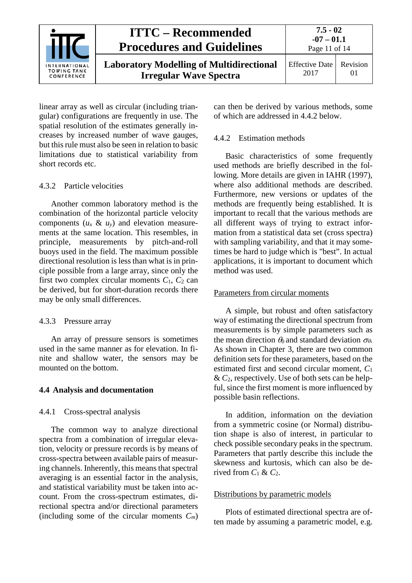

linear array as well as circular (including triangular) configurations are frequently in use. The spatial resolution of the estimates generally increases by increased number of wave gauges, but this rule must also be seen in relation to basic limitations due to statistical variability from short records etc.

#### <span id="page-10-0"></span>4.3.2 Particle velocities

Another common laboratory method is the combination of the horizontal particle velocity components  $(u_x \& u_y)$  and elevation measurements at the same location. This resembles, in principle, measurements by pitch-and-roll buoys used in the field. The maximum possible directional resolution is less than what is in principle possible from a large array, since only the first two complex circular moments  $C_1$ ,  $C_2$  can be derived, but for short-duration records there may be only small differences.

#### <span id="page-10-1"></span>4.3.3 Pressure array

An array of pressure sensors is sometimes used in the same manner as for elevation. In finite and shallow water, the sensors may be mounted on the bottom.

#### <span id="page-10-3"></span><span id="page-10-2"></span>**4.4 Analysis and documentation**

#### 4.4.1 Cross-spectral analysis

The common way to analyze directional spectra from a combination of irregular elevation, velocity or pressure records is by means of cross-spectra between available pairs of measuring channels. Inherently, this means that spectral averaging is an essential factor in the analysis, and statistical variability must be taken into account. From the cross-spectrum estimates, directional spectra and/or directional parameters (including some of the circular moments *Cm*) can then be derived by various methods, some of which are addressed in 4.4.2 below.

#### <span id="page-10-4"></span>4.4.2 Estimation methods

Basic characteristics of some frequently used methods are briefly described in the following. More details are given in IAHR (1997), where also additional methods are described. Furthermore, new versions or updates of the methods are frequently being established. It is important to recall that the various methods are all different ways of trying to extract information from a statistical data set (cross spectra) with sampling variability, and that it may sometimes be hard to judge which is "best". In actual applications, it is important to document which method was used.

#### Parameters from circular moments

A simple, but robust and often satisfactory way of estimating the directional spectrum from measurements is by simple parameters such as the mean direction  $\theta_0$  and standard deviation  $\sigma_{\theta}$ . As shown in Chapter 3, there are two common definition sets for these parameters, based on the estimated first and second circular moment, *C*<sup>1</sup> & *C*2, respectively. Use of both sets can be helpful, since the first moment is more influenced by possible basin reflections.

In addition, information on the deviation from a symmetric cosine (or Normal) distribution shape is also of interest, in particular to check possible secondary peaks in the spectrum. Parameters that partly describe this include the skewness and kurtosis, which can also be derived from  $C_1 \& C_2$ .

#### Distributions by parametric models

Plots of estimated directional spectra are often made by assuming a parametric model, e.g.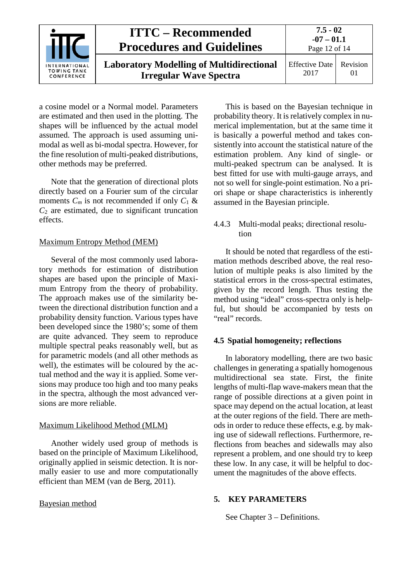

a cosine model or a Normal model. Parameters are estimated and then used in the plotting. The shapes will be influenced by the actual model assumed. The approach is used assuming unimodal as well as bi-modal spectra. However, for the fine resolution of multi-peaked distributions, other methods may be preferred.

Note that the generation of directional plots directly based on a Fourier sum of the circular moments  $C_m$  is not recommended if only  $C_1$  &  $C_2$  are estimated, due to significant truncation effects.

#### Maximum Entropy Method (MEM)

Several of the most commonly used laboratory methods for estimation of distribution shapes are based upon the principle of Maximum Entropy from the theory of probability. The approach makes use of the similarity between the directional distribution function and a probability density function. Various types have been developed since the 1980's; some of them are quite advanced. They seem to reproduce multiple spectral peaks reasonably well, but as for parametric models (and all other methods as well), the estimates will be coloured by the actual method and the way it is applied. Some versions may produce too high and too many peaks in the spectra, although the most advanced versions are more reliable.

#### Maximum Likelihood Method (MLM)

Another widely used group of methods is based on the principle of Maximum Likelihood, originally applied in seismic detection. It is normally easier to use and more computationally efficient than MEM (van de Berg, 2011).

#### Bayesian method

This is based on the Bayesian technique in probability theory. It is relatively complex in numerical implementation, but at the same time it is basically a powerful method and takes consistently into account the statistical nature of the estimation problem. Any kind of single- or multi-peaked spectrum can be analysed. It is best fitted for use with multi-gauge arrays, and not so well for single-point estimation. No a priori shape or shape characteristics is inherently assumed in the Bayesian principle.

#### <span id="page-11-0"></span>4.4.3 Multi-modal peaks; directional resolution

It should be noted that regardless of the estimation methods described above, the real resolution of multiple peaks is also limited by the statistical errors in the cross-spectral estimates, given by the record length. Thus testing the method using "ideal" cross-spectra only is helpful, but should be accompanied by tests on "real" records.

#### <span id="page-11-1"></span>**4.5 Spatial homogeneity; reflections**

In laboratory modelling, there are two basic challenges in generating a spatially homogenous multidirectional sea state. First, the finite lengths of multi-flap wave-makers mean that the range of possible directions at a given point in space may depend on the actual location, at least at the outer regions of the field. There are methods in order to reduce these effects, e.g. by making use of sidewall reflections. Furthermore, reflections from beaches and sidewalls may also represent a problem, and one should try to keep these low. In any case, it will be helpful to document the magnitudes of the above effects.

#### <span id="page-11-2"></span>**5. KEY PARAMETERS**

See Chapter 3 – Definitions.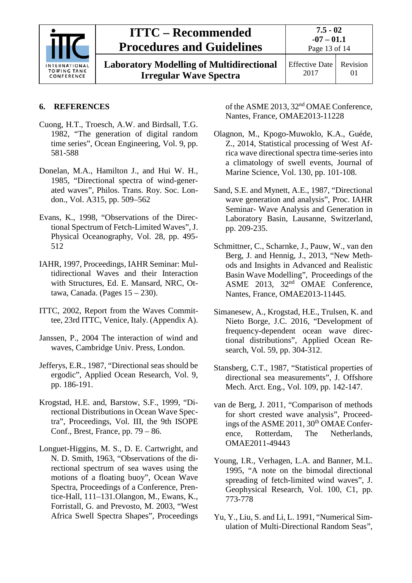

**Laboratory Modelling of Multidirectional Irregular Wave Spectra**

Effective Date 2017 Revision 01

#### <span id="page-12-0"></span>**6. REFERENCES**

- Cuong, H.T., Troesch, A.W. and Birdsall, T.G. 1982, "The generation of digital random time series", Ocean Engineering, Vol. 9, pp. 581-588
- Donelan, M.A., Hamilton J., and Hui W. H., 1985, "Directional spectra of wind-generated waves", Philos. Trans. Roy. Soc. London., Vol. A315, pp. 509–562
- Evans, K., 1998, "Observations of the Directional Spectrum of Fetch-Limited Waves", J. Physical Oceanography, Vol. 28, pp. 495- 512
- IAHR, 1997, Proceedings, IAHR Seminar: Multidirectional Waves and their Interaction with Structures, Ed. E. Mansard, NRC, Ottawa, Canada. (Pages  $15 - 230$ ).
- ITTC, 2002, Report from the Waves Committee, 23rd ITTC, Venice, Italy. (Appendix A).
- Janssen, P., 2004 The interaction of wind and waves, Cambridge Univ. Press, London.
- Jefferys, E.R., 1987, "Directional seas should be ergodic", Applied Ocean Research, Vol. 9, pp. 186-191.
- Krogstad, H.E. and, Barstow, S.F., 1999, "Directional Distributions in Ocean Wave Spectra", Proceedings, Vol. III, the 9th ISOPE Conf., Brest, France, pp. 79 – 86.
- Longuet-Higgins, M. S., D. E. Cartwright, and N. D. Smith, 1963, "Observations of the directional spectrum of sea waves using the motions of a floating buoy", Ocean Wave Spectra, Proceedings of a Conference, Prentice-Hall, 111–131.Olangon, M., Ewans, K., Forristall, G. and Prevosto, M. 2003, "West Africa Swell Spectra Shapes", Proceedings

of the ASME 2013, 32nd OMAE Conference, Nantes, France, OMAE2013-11228

- Olagnon, M., Kpogo-Muwoklo, K.A., Guéde, Z., 2014, Statistical processing of West Africa wave directional spectra time-series into a climatology of swell events, Journal of Marine Science, Vol. 130, pp. 101-108.
- Sand, S.E. and Mynett, A.E., 1987, "Directional wave generation and analysis", Proc. IAHR Seminar- Wave Analysis and Generation in Laboratory Basin, Lausanne, Switzerland, pp. 209-235.
- Schmittner, C., Scharnke, J., Pauw, W., van den Berg, J. and Hennig, J., 2013, "New Methods and Insights in Advanced and Realistic Basin Wave Modelling", Proceedings of the ASME 2013, 32nd OMAE Conference, Nantes, France, OMAE2013-11445.
- Simanesew, A., Krogstad, H.E., Trulsen, K. and Nieto Borge, J.C. 2016, "Development of frequency-dependent ocean wave directional distributions", Applied Ocean Research, Vol. 59, pp. 304-312.
- Stansberg, C.T., 1987, "Statistical properties of directional sea measurements", J. Offshore Mech. Arct. Eng., Vol. 109, pp. 142-147.
- van de Berg, J. 2011, "Comparison of methods for short crested wave analysis", Proceedings of the ASME 2011,  $30<sup>th</sup> OMAE$  Conference, Rotterdam, The Netherlands, OMAE2011-49443
- Young, I.R., Verhagen, L.A. and Banner, M.L. 1995, "A note on the bimodal directional spreading of fetch-limited wind waves", J. Geophysical Research, Vol. 100, C1, pp. 773-778
- Yu, Y., Liu, S. and Li, L. 1991, "Numerical Simulation of Multi-Directional Random Seas",